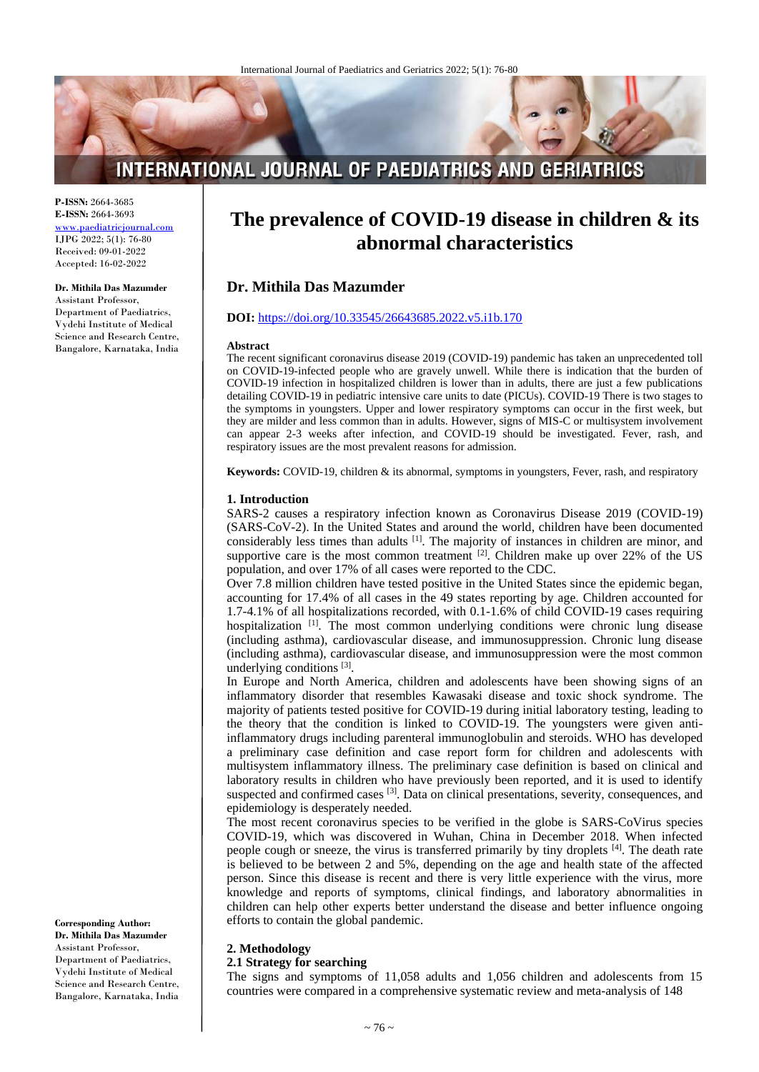# **INTERNATIONAL JOURNAL OF PAEDIATRICS AND GERIATRICS**

**P-ISSN:** 2664-3685 **E-ISSN:** 2664-3693 [www.paediatricjournal.com](http://www.paediatricjournal.com/) IJPG 2022; 5(1): 76-80 Received: 09-01-2022 Accepted: 16-02-2022

**Dr. Mithila Das Mazumder** Assistant Professor, Department of Paediatrics, Vydehi Institute of Medical Science and Research Centre, Bangalore, Karnataka, India

# **The prevalence of COVID-19 disease in children & its abnormal characteristics**

## **Dr. Mithila Das Mazumder**

#### **DOI:** <https://doi.org/10.33545/26643685.2022.v5.i1b.170>

#### **Abstract**

The recent significant coronavirus disease 2019 (COVID-19) pandemic has taken an unprecedented toll on COVID-19-infected people who are gravely unwell. While there is indication that the burden of COVID-19 infection in hospitalized children is lower than in adults, there are just a few publications detailing COVID-19 in pediatric intensive care units to date (PICUs). COVID-19 There is two stages to the symptoms in youngsters. Upper and lower respiratory symptoms can occur in the first week, but they are milder and less common than in adults. However, signs of MIS-C or multisystem involvement can appear 2-3 weeks after infection, and COVID-19 should be investigated. Fever, rash, and respiratory issues are the most prevalent reasons for admission.

**Keywords:** COVID-19, children & its abnormal, symptoms in youngsters, Fever, rash, and respiratory

#### **1. Introduction**

SARS-2 causes a respiratory infection known as Coronavirus Disease 2019 (COVID-19) (SARS-CoV-2). In the United States and around the world, children have been documented considerably less times than adults <sup>[1]</sup>. The majority of instances in children are minor, and supportive care is the most common treatment  $[2]$ . Children make up over 22% of the US population, and over 17% of all cases were reported to the CDC.

Over 7.8 million children have tested positive in the United States since the epidemic began, accounting for 17.4% of all cases in the 49 states reporting by age. Children accounted for 1.7-4.1% of all hospitalizations recorded, with 0.1-1.6% of child COVID-19 cases requiring hospitalization [1]. The most common underlying conditions were chronic lung disease (including asthma), cardiovascular disease, and immunosuppression. Chronic lung disease (including asthma), cardiovascular disease, and immunosuppression were the most common underlying conditions<sup>[3]</sup>.

In Europe and North America, children and adolescents have been showing signs of an inflammatory disorder that resembles Kawasaki disease and toxic shock syndrome. The majority of patients tested positive for COVID-19 during initial laboratory testing, leading to the theory that the condition is linked to COVID-19. The youngsters were given antiinflammatory drugs including parenteral immunoglobulin and steroids. WHO has developed a preliminary case definition and case report form for children and adolescents with multisystem inflammatory illness. The preliminary case definition is based on clinical and laboratory results in children who have previously been reported, and it is used to identify suspected and confirmed cases <sup>[3]</sup>. Data on clinical presentations, severity, consequences, and epidemiology is desperately needed.

The most recent coronavirus species to be verified in the globe is SARS-CoVirus species COVID-19, which was discovered in Wuhan, China in December 2018. When infected people cough or sneeze, the virus is transferred primarily by tiny droplets [4]. The death rate is believed to be between 2 and 5%, depending on the age and health state of the affected person. Since this disease is recent and there is very little experience with the virus, more knowledge and reports of symptoms, clinical findings, and laboratory abnormalities in children can help other experts better understand the disease and better influence ongoing efforts to contain the global pandemic.

## **2. Methodology**

## **2.1 Strategy for searching**

The signs and symptoms of 11,058 adults and 1,056 children and adolescents from 15 countries were compared in a comprehensive systematic review and meta-analysis of 148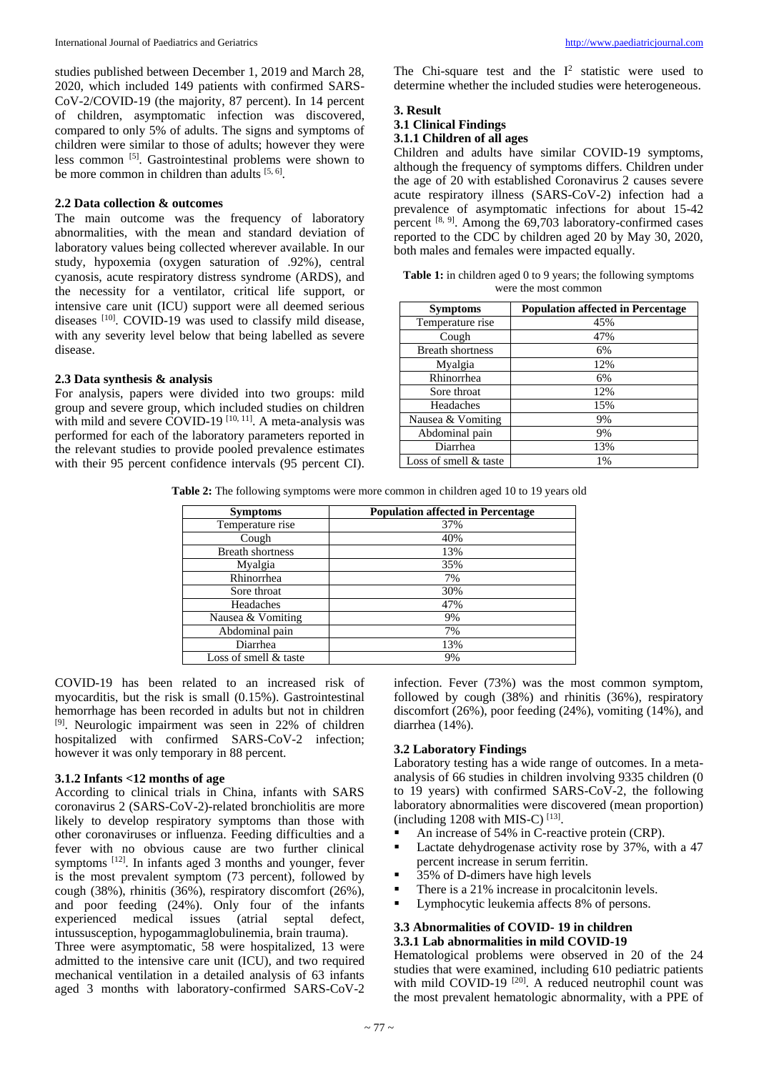studies published between December 1, 2019 and March 28, 2020, which included 149 patients with confirmed SARS-CoV-2/COVID-19 (the majority, 87 percent). In 14 percent of children, asymptomatic infection was discovered, compared to only 5% of adults. The signs and symptoms of children were similar to those of adults; however they were less common <sup>[5]</sup>. Gastrointestinal problems were shown to be more common in children than adults [5, 6].

#### **2.2 Data collection & outcomes**

The main outcome was the frequency of laboratory abnormalities, with the mean and standard deviation of laboratory values being collected wherever available. In our study, hypoxemia (oxygen saturation of .92%), central cyanosis, acute respiratory distress syndrome (ARDS), and the necessity for a ventilator, critical life support, or intensive care unit (ICU) support were all deemed serious diseases [10]. COVID-19 was used to classify mild disease, with any severity level below that being labelled as severe disease.

#### **2.3 Data synthesis & analysis**

For analysis, papers were divided into two groups: mild group and severe group, which included studies on children with mild and severe COVID-19<sup> $[10, 11]$ </sup>. A meta-analysis was performed for each of the laboratory parameters reported in the relevant studies to provide pooled prevalence estimates with their 95 percent confidence intervals (95 percent CI).

The Chi-square test and the  $I^2$  statistic were used to determine whether the included studies were heterogeneous.

## **3. Result**

#### **3.1 Clinical Findings**

#### **3.1.1 Children of all ages**

Children and adults have similar COVID-19 symptoms, although the frequency of symptoms differs. Children under the age of 20 with established Coronavirus 2 causes severe acute respiratory illness (SARS-CoV-2) infection had a prevalence of asymptomatic infections for about 15-42 percent  $[8, 9]$ . Among the 69,703 laboratory-confirmed cases reported to the CDC by children aged 20 by May 30, 2020, both males and females were impacted equally.

| <b>Table 1:</b> in children aged 0 to 9 years; the following symptoms |
|-----------------------------------------------------------------------|
| were the most common                                                  |

| <b>Symptoms</b>         | <b>Population affected in Percentage</b> |
|-------------------------|------------------------------------------|
| Temperature rise        | 45%                                      |
| Cough                   | 47%                                      |
| <b>Breath shortness</b> | 6%                                       |
| Myalgia                 | 12%                                      |
| Rhinorrhea              | 6%                                       |
| Sore throat             | 12%                                      |
| Headaches               | 15%                                      |
| Nausea & Vomiting       | 9%                                       |
| Abdominal pain          | 9%                                       |
| Diarrhea                | 13%                                      |
| Loss of smell & taste   | 1%                                       |

**Table 2:** The following symptoms were more common in children aged 10 to 19 years old

| <b>Symptoms</b>         | <b>Population affected in Percentage</b> |
|-------------------------|------------------------------------------|
| Temperature rise        | 37%                                      |
| Cough                   | 40%                                      |
| <b>Breath shortness</b> | 13%                                      |
| Myalgia                 | 35%                                      |
| Rhinorrhea              | 7%                                       |
| Sore throat             | 30%                                      |
| Headaches               | 47%                                      |
| Nausea & Vomiting       | 9%                                       |
| Abdominal pain          | 7%                                       |
| Diarrhea                | 13%                                      |
| Loss of smell & taste   | 9%                                       |

COVID-19 has been related to an increased risk of myocarditis, but the risk is small (0.15%). Gastrointestinal hemorrhage has been recorded in adults but not in children <sup>[9]</sup>. Neurologic impairment was seen in 22% of children hospitalized with confirmed SARS-CoV-2 infection; however it was only temporary in 88 percent.

## **3.1.2 Infants <12 months of age**

According to clinical trials in China, infants with SARS coronavirus 2 (SARS-CoV-2)-related bronchiolitis are more likely to develop respiratory symptoms than those with other coronaviruses or influenza. Feeding difficulties and a fever with no obvious cause are two further clinical symptoms <sup>[12]</sup>. In infants aged 3 months and younger, fever is the most prevalent symptom (73 percent), followed by cough (38%), rhinitis (36%), respiratory discomfort (26%), and poor feeding (24%). Only four of the infants experienced medical issues (atrial septal defect, intussusception, hypogammaglobulinemia, brain trauma).

Three were asymptomatic, 58 were hospitalized, 13 were admitted to the intensive care unit (ICU), and two required mechanical ventilation in a detailed analysis of 63 infants aged 3 months with laboratory-confirmed SARS-CoV-2

infection. Fever (73%) was the most common symptom, followed by cough (38%) and rhinitis (36%), respiratory discomfort (26%), poor feeding (24%), vomiting (14%), and diarrhea (14%).

## **3.2 Laboratory Findings**

Laboratory testing has a wide range of outcomes. In a metaanalysis of 66 studies in children involving 9335 children (0 to 19 years) with confirmed SARS-CoV-2, the following laboratory abnormalities were discovered (mean proportion)  $(including 1208 with MIS-C)$ <sup>[13]</sup>.

- An increase of 54% in C-reactive protein (CRP).
- Lactate dehydrogenase activity rose by 37%, with a 47 percent increase in serum ferritin.
- 35% of D-dimers have high levels
- There is a 21% increase in procalciton in levels.
- **Lymphocytic leukemia affects 8% of persons.**

#### **3.3 Abnormalities of COVID- 19 in children 3.3.1 Lab abnormalities in mild COVID-19**

Hematological problems were observed in 20 of the 24 studies that were examined, including 610 pediatric patients with mild COVID-19<sup>[20]</sup>. A reduced neutrophil count was the most prevalent hematologic abnormality, with a PPE of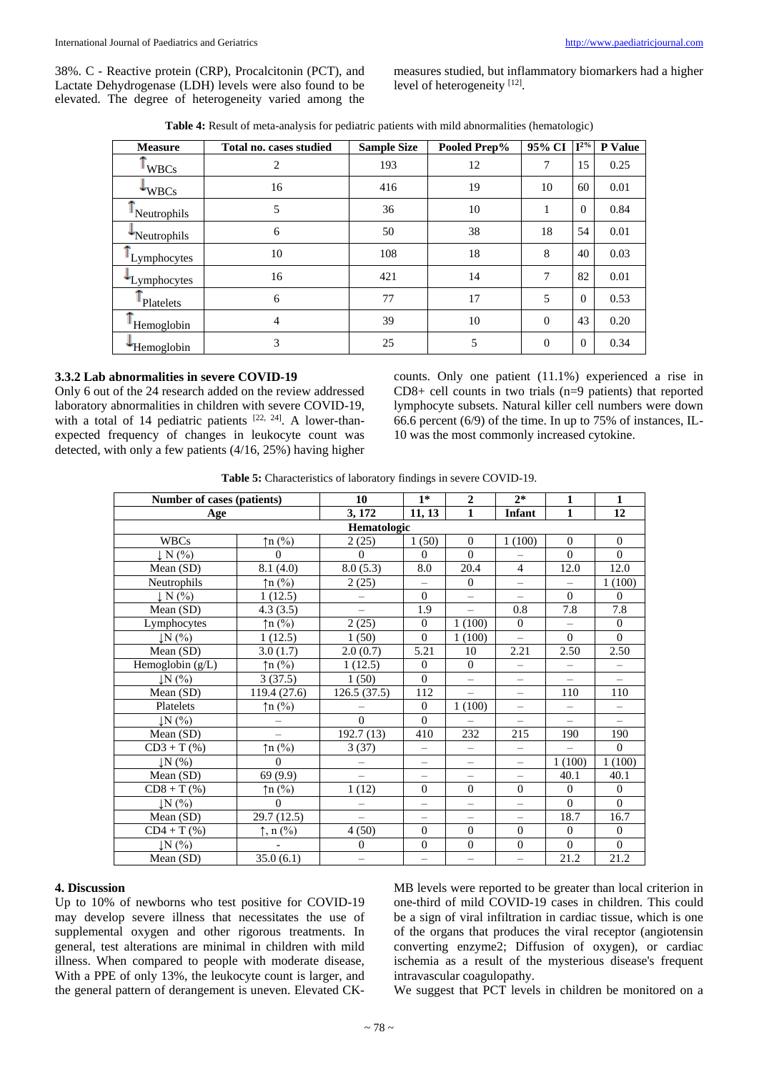38%. C - Reactive protein (CRP), Procalcitonin (PCT), and Lactate Dehydrogenase (LDH) levels were also found to be elevated. The degree of heterogeneity varied among the measures studied, but inflammatory biomarkers had a higher level of heterogeneity [12].

| Table 4: Result of meta-analysis for pediatric patients with mild abnormalities (hematologic) |  |
|-----------------------------------------------------------------------------------------------|--|
|-----------------------------------------------------------------------------------------------|--|

| <b>Measure</b>  | Total no. cases studied | <b>Sample Size</b> | Pooled Prep% | 95% CI   | $I^{2\%}$ | P Value |
|-----------------|-------------------------|--------------------|--------------|----------|-----------|---------|
| <b>WBCs</b>     | 2                       | 193                | 12           | 7        | 15        | 0.25    |
| $\bigstar$ WBCs | 16                      | 416                | 19           | 10       | 60        | 0.01    |
| Neutrophils     | 5                       | 36                 | 10           | 1        | $\Omega$  | 0.84    |
| *Neutrophils    | 6                       | 50                 | 38           | 18       | 54        | 0.01    |
| Lymphocytes     | 10                      | 108                | 18           | 8        | 40        | 0.03    |
| Lymphocytes     | 16                      | 421                | 14           | 7        | 82        | 0.01    |
| Platelets       | 6                       | 77                 | 17           | 5        | $\Omega$  | 0.53    |
| Hemoglobin      | $\overline{4}$          | 39                 | 10           | $\Omega$ | 43        | 0.20    |
| Hemoglobin      | 3                       | 25                 | 5            | $\Omega$ | $\Omega$  | 0.34    |

## **3.3.2 Lab abnormalities in severe COVID-19**

Only 6 out of the 24 research added on the review addressed laboratory abnormalities in children with severe COVID-19, with a total of 14 pediatric patients  $[22, 24]$ . A lower-thanexpected frequency of changes in leukocyte count was detected, with only a few patients (4/16, 25%) having higher

counts. Only one patient (11.1%) experienced a rise in CD8+ cell counts in two trials (n=9 patients) that reported lymphocyte subsets. Natural killer cell numbers were down 66.6 percent (6/9) of the time. In up to 75% of instances, IL-10 was the most commonly increased cytokine.

**Table 5:** Characteristics of laboratory findings in severe COVID-19.

| Number of cases (patients) |                                | 10                       | $1*$                     | $\overline{2}$           | $2*$                     | $\mathbf{1}$                   | $\mathbf{1}$             |  |
|----------------------------|--------------------------------|--------------------------|--------------------------|--------------------------|--------------------------|--------------------------------|--------------------------|--|
| Age                        |                                | 3, 172                   | 11, 13                   | $\mathbf{1}$             | Infant                   | $\mathbf{1}$                   | 12                       |  |
| Hematologic                |                                |                          |                          |                          |                          |                                |                          |  |
| <b>WBCs</b>                | $\uparrow$ n (%)               | 2(25)                    | 1(50)                    | $\theta$                 | 1(100)                   | $\mathbf{0}$                   | $\mathbf{0}$             |  |
| N(%)                       | $\Omega$                       | $\Omega$                 | $\Omega$                 | $\Omega$                 |                          | $\Omega$                       | $\Omega$                 |  |
| Mean (SD)                  | 8.1(4.0)                       | 8.0(5.3)                 | 8.0                      | 20.4                     | $\overline{4}$           | 12.0                           | 12.0                     |  |
| Neutrophils                | $\uparrow$ n (%)               | 2(25)                    | $\equiv$                 | $\theta$                 | $\equiv$                 | $\equiv$                       | 1(100)                   |  |
| $\downarrow$ N $(\% )$     | 1(12.5)                        | $\overline{\phantom{m}}$ | $\Omega$                 | $\equiv$                 | $\overline{\phantom{0}}$ | $\Omega$                       | $\Omega$                 |  |
| Mean (SD)                  | 4.3(3.5)                       |                          | 1.9                      |                          | 0.8                      | 7.8                            | 7.8                      |  |
| Lymphocytes                | $\uparrow$ n (%)               | 2(25)                    | $\Omega$                 | 1(100)                   | $\Omega$                 | $\equiv$                       | $\Omega$                 |  |
| $\downarrow$ N $(%)$       | 1(12.5)                        | 1(50)                    | $\Omega$                 | 1(100)                   | $\equiv$                 | $\Omega$                       | $\Omega$                 |  |
| Mean $(SD)$                | 3.0(1.7)                       | 2.0(0.7)                 | 5.21                     | 10                       | 2.21                     | 2.50                           | 2.50                     |  |
| Hemoglobin (g/L)           | $\uparrow$ n (%)               | 1(12.5)                  | $\theta$                 | $\theta$                 | $\overline{\phantom{m}}$ | -                              | -                        |  |
| LN(%)                      | 3(37.5)                        | 1(50)                    | $\Omega$                 | $\overline{\phantom{0}}$ | $\qquad \qquad -$        |                                | $\overline{\phantom{0}}$ |  |
| Mean $(SD)$                | 119.4 (27.6)                   | 126.5(37.5)              | 112                      | $\equiv$                 | $\equiv$                 | 110                            | 110                      |  |
| Platelets                  | $\uparrow$ n (%)               |                          | $\Omega$                 | 1(100)                   | $\equiv$                 | $\qquad \qquad \longleftarrow$ | $\qquad \qquad -$        |  |
| $\downarrow$ N $(%)$       |                                | $\Omega$                 | $\theta$                 |                          | $\equiv$                 | $\overline{\phantom{0}}$       | $\equiv$                 |  |
| Mean (SD)                  |                                | 192.7(13)                | 410                      | 232                      | 215                      | 190                            | 190                      |  |
| $CD3 + T$ (%)              | $\uparrow$ n (%)               | 3(37)                    | $\equiv$                 | $\equiv$                 | $\equiv$                 | $\equiv$                       | $\Omega$                 |  |
| $\downarrow$ N $(%)$       | $\Omega$                       | $\overline{\phantom{0}}$ | $\overline{\phantom{0}}$ | $\overline{\phantom{0}}$ | $\equiv$                 | 1(100)                         | 1(100)                   |  |
| Mean (SD)                  | 69(9.9)                        | $\equiv$                 | ÷.                       | $\overline{\phantom{0}}$ | $\equiv$                 | 40.1                           | 40.1                     |  |
| $CD8 + T$ (%)              | $\uparrow$ n (%)               | 1(12)                    | $\Omega$                 | $\theta$                 | $\Omega$                 | $\mathbf{0}$                   | $\overline{0}$           |  |
| $\downarrow$ N $(%)$       | $\Omega$                       | $\equiv$                 | $\equiv$                 | $\overline{\phantom{0}}$ | $\equiv$                 | $\theta$                       | $\Omega$                 |  |
| Mean (SD)                  | 29.7 (12.5)                    | $\equiv$                 | $\equiv$                 |                          | $\equiv$                 | 18.7                           | 16.7                     |  |
| $CD4 + T$ (%)              | $\uparrow$ , n $(\frac{9}{9})$ | 4(50)                    | $\mathbf{0}$             | $\mathbf{0}$             | $\Omega$                 | $\theta$                       | $\mathbf{0}$             |  |
| $\downarrow$ N $(%)$       |                                | $\theta$                 | $\boldsymbol{0}$         | $\boldsymbol{0}$         | $\overline{0}$           | $\theta$                       | $\Omega$                 |  |
| Mean (SD)                  | 35.0(6.1)                      | $\overline{\phantom{m}}$ | $\equiv$                 | $\equiv$                 | $\equiv$                 | 21.2                           | 21.2                     |  |

#### **4. Discussion**

Up to 10% of newborns who test positive for COVID-19 may develop severe illness that necessitates the use of supplemental oxygen and other rigorous treatments. In general, test alterations are minimal in children with mild illness. When compared to people with moderate disease, With a PPE of only 13%, the leukocyte count is larger, and the general pattern of derangement is uneven. Elevated CK-

MB levels were reported to be greater than local criterion in one-third of mild COVID-19 cases in children. This could be a sign of viral infiltration in cardiac tissue, which is one of the organs that produces the viral receptor (angiotensin converting enzyme2; Diffusion of oxygen), or cardiac ischemia as a result of the mysterious disease's frequent intravascular coagulopathy.

We suggest that PCT levels in children be monitored on a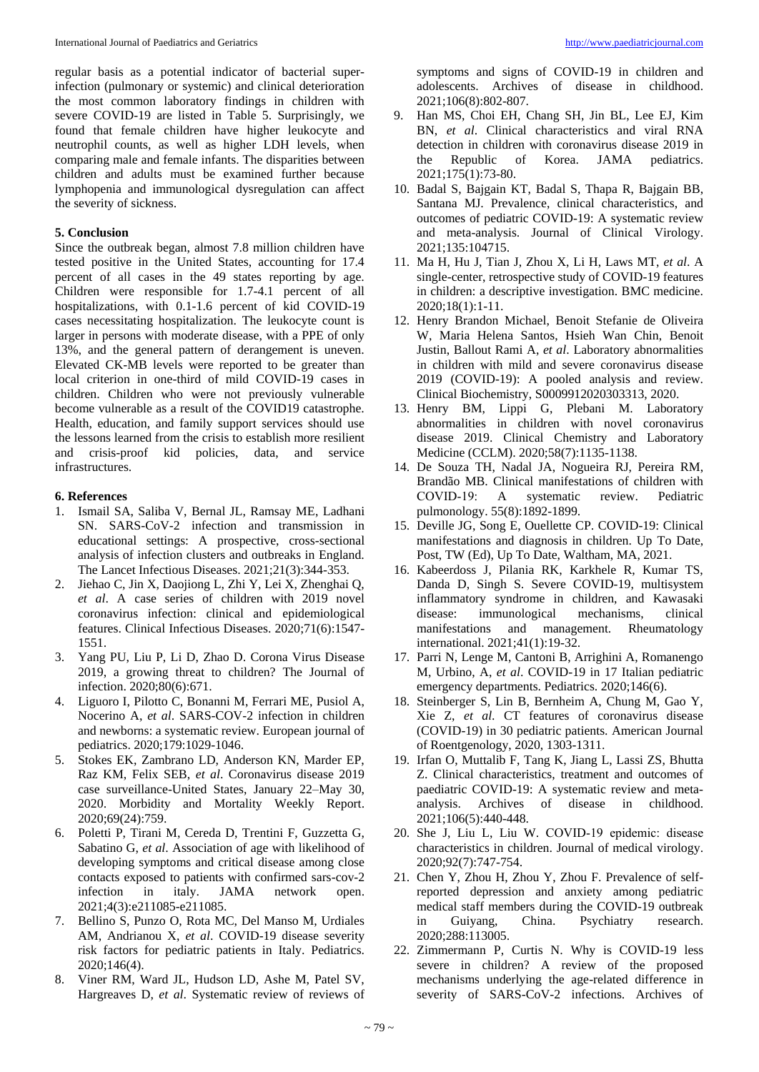regular basis as a potential indicator of bacterial superinfection (pulmonary or systemic) and clinical deterioration the most common laboratory findings in children with severe COVID-19 are listed in Table 5. Surprisingly, we found that female children have higher leukocyte and neutrophil counts, as well as higher LDH levels, when comparing male and female infants. The disparities between children and adults must be examined further because lymphopenia and immunological dysregulation can affect the severity of sickness.

#### **5. Conclusion**

Since the outbreak began, almost 7.8 million children have tested positive in the United States, accounting for 17.4 percent of all cases in the 49 states reporting by age. Children were responsible for 1.7-4.1 percent of all hospitalizations, with 0.1-1.6 percent of kid COVID-19 cases necessitating hospitalization. The leukocyte count is larger in persons with moderate disease, with a PPE of only 13%, and the general pattern of derangement is uneven. Elevated CK-MB levels were reported to be greater than local criterion in one-third of mild COVID-19 cases in children. Children who were not previously vulnerable become vulnerable as a result of the COVID19 catastrophe. Health, education, and family support services should use the lessons learned from the crisis to establish more resilient and crisis-proof kid policies, data, and service infrastructures.

#### **6. References**

- 1. Ismail SA, Saliba V, Bernal JL, Ramsay ME, Ladhani SN. SARS-CoV-2 infection and transmission in educational settings: A prospective, cross-sectional analysis of infection clusters and outbreaks in England. The Lancet Infectious Diseases. 2021;21(3):344-353.
- 2. Jiehao C, Jin X, Daojiong L, Zhi Y, Lei X, Zhenghai Q, *et al*. A case series of children with 2019 novel coronavirus infection: clinical and epidemiological features. Clinical Infectious Diseases. 2020;71(6):1547- 1551.
- 3. Yang PU, Liu P, Li D, Zhao D. Corona Virus Disease 2019, a growing threat to children? The Journal of infection. 2020;80(6):671.
- 4. Liguoro I, Pilotto C, Bonanni M, Ferrari ME, Pusiol A, Nocerino A, *et al*. SARS-COV-2 infection in children and newborns: a systematic review. European journal of pediatrics. 2020;179:1029-1046.
- 5. Stokes EK, Zambrano LD, Anderson KN, Marder EP, Raz KM, Felix SEB, *et al*. Coronavirus disease 2019 case surveillance-United States, January 22–May 30, 2020. Morbidity and Mortality Weekly Report. 2020;69(24):759.
- 6. Poletti P, Tirani M, Cereda D, Trentini F, Guzzetta G, Sabatino G, *et al*. Association of age with likelihood of developing symptoms and critical disease among close contacts exposed to patients with confirmed sars-cov-2 infection in italy. JAMA network open. 2021;4(3):e211085-e211085.
- 7. Bellino S, Punzo O, Rota MC, Del Manso M, Urdiales AM, Andrianou X, *et al*. COVID-19 disease severity risk factors for pediatric patients in Italy. Pediatrics. 2020;146(4).
- 8. Viner RM, Ward JL, Hudson LD, Ashe M, Patel SV, Hargreaves D, *et al*. Systematic review of reviews of

symptoms and signs of COVID-19 in children and adolescents. Archives of disease in childhood. 2021;106(8):802-807.

- 9. Han MS, Choi EH, Chang SH, Jin BL, Lee EJ, Kim BN, *et al*. Clinical characteristics and viral RNA detection in children with coronavirus disease 2019 in the Republic of Korea. JAMA pediatrics. 2021;175(1):73-80.
- 10. Badal S, Bajgain KT, Badal S, Thapa R, Bajgain BB, Santana MJ. Prevalence, clinical characteristics, and outcomes of pediatric COVID-19: A systematic review and meta-analysis. Journal of Clinical Virology. 2021;135:104715.
- 11. Ma H, Hu J, Tian J, Zhou X, Li H, Laws MT, *et al*. A single-center, retrospective study of COVID-19 features in children: a descriptive investigation. BMC medicine. 2020;18(1):1-11.
- 12. Henry Brandon Michael, Benoit Stefanie de Oliveira W, Maria Helena Santos, Hsieh Wan Chin, Benoit Justin, Ballout Rami A, *et al*. Laboratory abnormalities in children with mild and severe coronavirus disease 2019 (COVID-19): A pooled analysis and review. Clinical Biochemistry, S0009912020303313, 2020.
- 13. Henry BM, Lippi G, Plebani M. Laboratory abnormalities in children with novel coronavirus disease 2019. Clinical Chemistry and Laboratory Medicine (CCLM). 2020;58(7):1135-1138.
- 14. De Souza TH, Nadal JA, Nogueira RJ, Pereira RM, Brandão MB. Clinical manifestations of children with COVID‐19: A systematic review. Pediatric pulmonology. 55(8):1892-1899.
- 15. Deville JG, Song E, Ouellette CP. COVID-19: Clinical manifestations and diagnosis in children. Up To Date, Post, TW (Ed), Up To Date, Waltham, MA, 2021.
- 16. Kabeerdoss J, Pilania RK, Karkhele R, Kumar TS, Danda D, Singh S. Severe COVID-19, multisystem inflammatory syndrome in children, and Kawasaki disease: immunological mechanisms, clinical manifestations and management. Rheumatology international. 2021;41(1):19-32.
- 17. Parri N, Lenge M, Cantoni B, Arrighini A, Romanengo M, Urbino, A, *et al*. COVID-19 in 17 Italian pediatric emergency departments. Pediatrics. 2020;146(6).
- 18. Steinberger S, Lin B, Bernheim A, Chung M, Gao Y, Xie Z, *et al*. CT features of coronavirus disease (COVID-19) in 30 pediatric patients. American Journal of Roentgenology, 2020, 1303-1311.
- 19. Irfan O, Muttalib F, Tang K, Jiang L, Lassi ZS, Bhutta Z. Clinical characteristics, treatment and outcomes of paediatric COVID-19: A systematic review and metaanalysis. Archives of disease in childhood. 2021;106(5):440-448.
- 20. She J, Liu L, Liu W. COVID‐19 epidemic: disease characteristics in children. Journal of medical virology. 2020;92(7):747-754.
- 21. Chen Y, Zhou H, Zhou Y, Zhou F. Prevalence of selfreported depression and anxiety among pediatric medical staff members during the COVID-19 outbreak in Guiyang, China. Psychiatry research. 2020;288:113005.
- 22. Zimmermann P, Curtis N. Why is COVID-19 less severe in children? A review of the proposed mechanisms underlying the age-related difference in severity of SARS-CoV-2 infections. Archives of